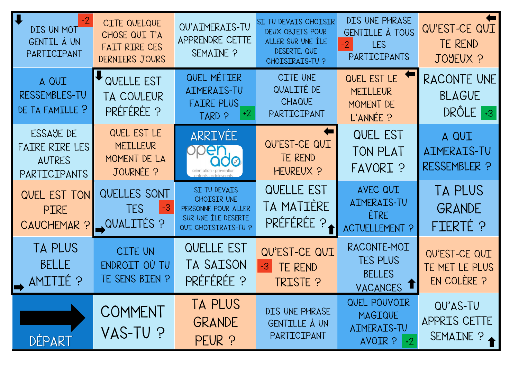QU'AS-TU APPRIS CETTE SEMAINE ?

| $\overline{\mathbf{u}}$<br>$-2$<br>DIS UN MOT<br>GENTIL À UN<br>PARTICIPANT | CITE QUELQUE<br>CHOSE QUI T'A<br>FAIT RIRE CES<br>DERNIERS JOURS | QU'AIMERAIS-TU<br>APPRENDRE CETTE<br>SEMAINE ?                                                   | SI TU DEVAIS CHOISIR<br>DEUX OBJETS POUR<br>ALLER SUR UNE ÎLE<br>DESERTE, QUE<br>CHOISIRAIS-TU ? | DIS UNE PHRASE<br>GENTILLE À TOUS<br>$-2$<br><b>LES</b><br>PARTICIPANTS | QU'EST-CE QUI<br>TE REND<br>JOYEUX ?            |
|-----------------------------------------------------------------------------|------------------------------------------------------------------|--------------------------------------------------------------------------------------------------|--------------------------------------------------------------------------------------------------|-------------------------------------------------------------------------|-------------------------------------------------|
| A QUI<br>RESSEMBLES-TU<br>DE TA FAMILLE ?                                   | OVELLE EST<br><b>TA COULEUR</b><br>PRÉFÉRÉE ?                    | QUEL MÉTIER<br>AIMERAIS-TU<br><b>FAIRE PLUS</b><br>$+2$<br>TARD ?                                | CITE UNE<br>QUALITÉ DE<br><b>CHAQUE</b><br>PARTICIPANT                                           | QUEL EST LE<br><b>MEILLEUR</b><br>MOMENT DE<br>L'ANNÉE ?                | <b>RACONTE UNI</b><br><b>BLAGUE</b><br>DRÔLE +3 |
| ESSAYE DE<br><b>FAIRE RIRE LES</b><br><b>AUTRES</b><br>PARTICIPANTS         | QUEL EST LE<br><b>MEILLEUR</b><br>MOMENT DE LA<br>JOURNÉE ?      | ARRIVEE<br>DDEN<br>$O\oslash$<br>orientation - prévention                                        | QU'EST-CE QUI<br>TE REND<br>HEUREUX ?                                                            | <b>QUEL EST</b><br>TON PLAT<br>FAVORI ?                                 | A QUI<br>AIMERAIS-TU<br>RESSEMBLER ?            |
| QUEL EST TON<br><b>PIRE</b><br>CAUCHEMAR ?                                  | QUELLES SONT<br>TES I<br>-3<br><b>QUALITÉS ?</b>                 | SI TU DEVAIS<br>CHOISIR UNE<br>PERSONNE POUR ALLER<br>SUR UNE ÎLE DESERTE<br>QUI CHOISIRAIS-TU ? | <b>QUELLE EST</b><br>TA MATIÈRE<br>PRÉFÉRÉE ?                                                    | AVEC QUI<br><b>AIMERAIS-TU</b><br>ÊTRE<br>ACTUELLEMENT ?                | <b>TA PLUS</b><br><b>GRANDE</b><br>FIERTÉ ?     |
| TA PLUS<br><b>BELLE</b><br>AMITIÉ ?                                         | <b>CITE UN</b><br>ENDROIT OÙ TU<br>TE SENS BIEN ?                | QUELLE EST<br>TA SAISON<br>PRÉFÉRÉE ?                                                            | QU'EST-CE QUI<br>$-3$<br>TE REND<br>TRISTE ?                                                     | RACONTE-MOI<br><b>TES PLUS</b><br><b>BELLES</b><br>VACANCES 1           | QU'EST-CE QUI<br>TE MET LE PLUS<br>EN COLÈRE ?  |
| DÉPART                                                                      | COMMENT<br>VAS-TU ?                                              | TA PLUS<br><b>GRANDE</b><br>PEUR ?                                                               | DIS UNE PHRASE<br>GENTILLE À UN<br>PARTICIPANT                                                   | QUEL POUVOIR<br>MAGIQUE<br>AIMERAIS-TU<br>AVOIR ?<br>$+2$               | QU'AS-TU<br>APPRIS CETTE<br>SEMAINE ?           |

QU'EST-CE QUI

JOYEUX ? RACONTE UNE BLAGUE